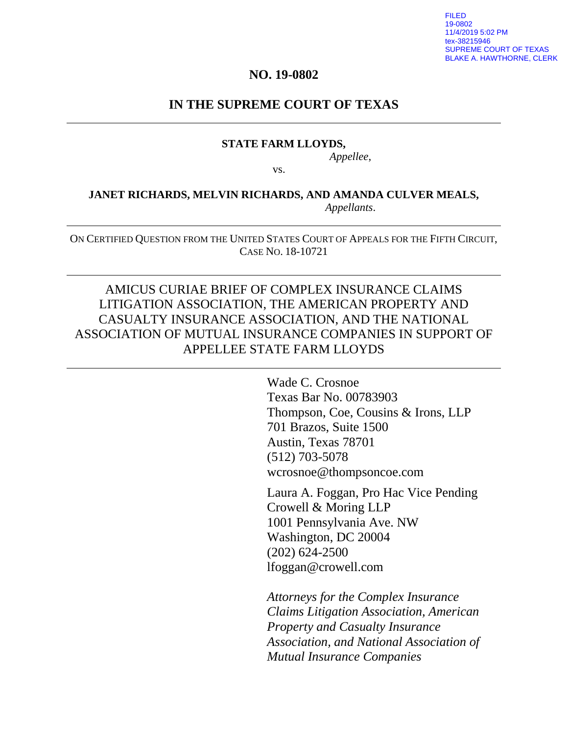FILED 19-0802 11/4/2019 5:02 PM ex-38215946 SUPREME COURT OF TEXAS BLAKE A. HAWTHORNE, CLERK

#### **NO. 19-0802**

#### **IN THE SUPREME COURT OF TEXAS**

#### **STATE FARM LLOYDS,**

*Appellee*,

vs.

#### **JANET RICHARDS, MELVIN RICHARDS, AND AMANDA CULVER MEALS,**  *Appellants*.

ON CERTIFIED QUESTION FROM THE UNITED STATES COURT OF APPEALS FOR THE FIFTH CIRCUIT, CASE NO. 18-10721

## AMICUS CURIAE BRIEF OF COMPLEX INSURANCE CLAIMS LITIGATION ASSOCIATION, THE AMERICAN PROPERTY AND CASUALTY INSURANCE ASSOCIATION, AND THE NATIONAL ASSOCIATION OF MUTUAL INSURANCE COMPANIES IN SUPPORT OF APPELLEE STATE FARM LLOYDS

Wade C. Crosnoe Texas Bar No. 00783903 Thompson, Coe, Cousins & Irons, LLP 701 Brazos, Suite 1500 Austin, Texas 78701 (512) 703-5078 wcrosnoe@thompsoncoe.com

Laura A. Foggan, Pro Hac Vice Pending Crowell & Moring LLP 1001 Pennsylvania Ave. NW Washington, DC 20004 (202) 624-2500 lfoggan@crowell.com

*Attorneys for the Complex Insurance Claims Litigation Association, American Property and Casualty Insurance Association, and National Association of Mutual Insurance Companies*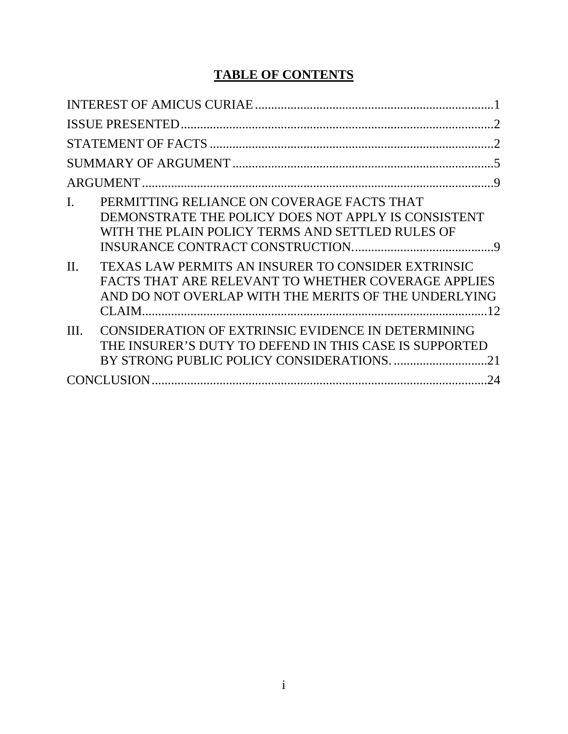# **TABLE OF CONTENTS**

| $\mathcal{D}$                                                                                                                                                                      |  |
|------------------------------------------------------------------------------------------------------------------------------------------------------------------------------------|--|
| $\mathcal{D}$                                                                                                                                                                      |  |
|                                                                                                                                                                                    |  |
|                                                                                                                                                                                    |  |
| PERMITTING RELIANCE ON COVERAGE FACTS THAT<br>$\mathbf{I}$ .<br>DEMONSTRATE THE POLICY DOES NOT APPLY IS CONSISTENT<br>WITH THE PLAIN POLICY TERMS AND SETTLED RULES OF            |  |
| TEXAS LAW PERMITS AN INSURER TO CONSIDER EXTRINSIC<br>$\Pi$ .<br>FACTS THAT ARE RELEVANT TO WHETHER COVERAGE APPLIES<br>AND DO NOT OVERLAP WITH THE MERITS OF THE UNDERLYING<br>12 |  |
| CONSIDERATION OF EXTRINSIC EVIDENCE IN DETERMINING<br>III.<br>THE INSURER'S DUTY TO DEFEND IN THIS CASE IS SUPPORTED                                                               |  |
| 24                                                                                                                                                                                 |  |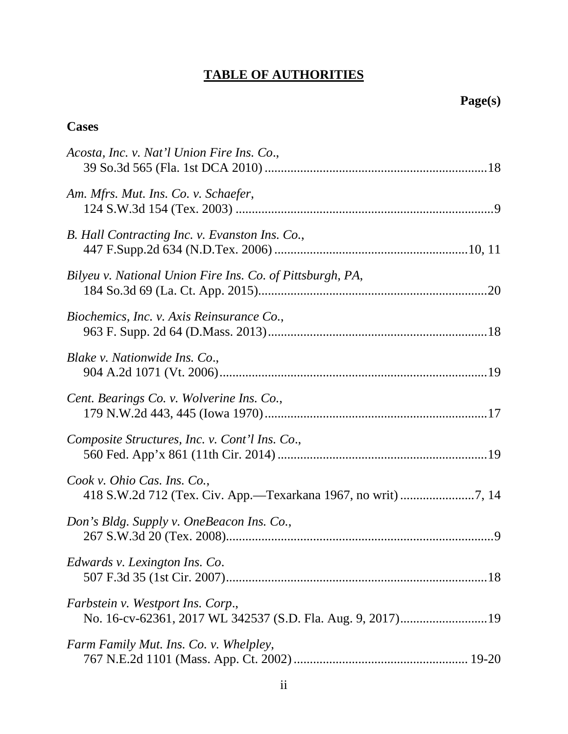# **TABLE OF AUTHORITIES**

## **Cases**

| Acosta, Inc. v. Nat'l Union Fire Ins. Co.,                |
|-----------------------------------------------------------|
| Am. Mfrs. Mut. Ins. Co. v. Schaefer,                      |
| B. Hall Contracting Inc. v. Evanston Ins. Co.,            |
| Bilyeu v. National Union Fire Ins. Co. of Pittsburgh, PA, |
| Biochemics, Inc. v. Axis Reinsurance Co.,                 |
| Blake v. Nationwide Ins. Co.,                             |
| Cent. Bearings Co. v. Wolverine Ins. Co.,                 |
| Composite Structures, Inc. v. Cont'l Ins. Co.,            |
| Cook v. Ohio Cas. Ins. Co.,                               |
| Don's Bldg. Supply v. OneBeacon Ins. Co.,                 |
| Edwards v. Lexington Ins. Co.                             |
| Farbstein v. Westport Ins. Corp.,                         |
| Farm Family Mut. Ins. Co. v. Whelpley,                    |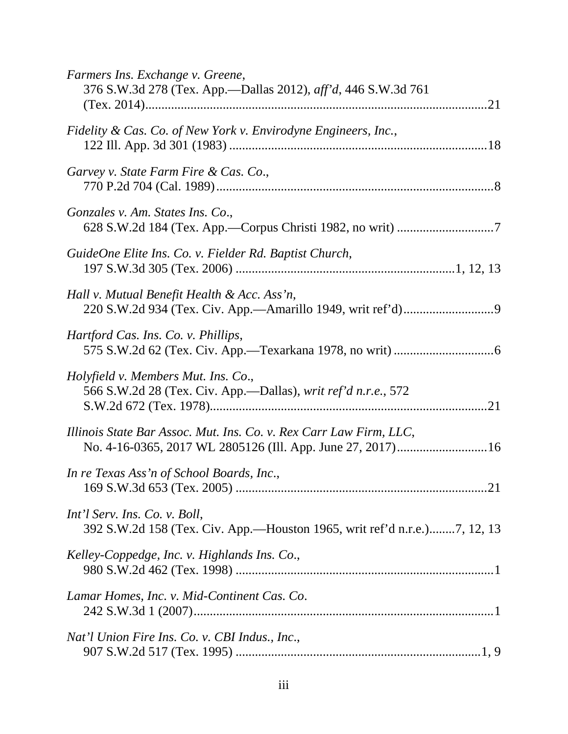| Farmers Ins. Exchange v. Greene,<br>376 S.W.3d 278 (Tex. App.—Dallas 2012), aff'd, 446 S.W.3d 761                                |
|----------------------------------------------------------------------------------------------------------------------------------|
| Fidelity & Cas. Co. of New York v. Envirodyne Engineers, Inc.,                                                                   |
| Garvey v. State Farm Fire & Cas. Co.,                                                                                            |
| Gonzales v. Am. States Ins. Co.,                                                                                                 |
| GuideOne Elite Ins. Co. v. Fielder Rd. Baptist Church,                                                                           |
| Hall v. Mutual Benefit Health & Acc. Ass'n,                                                                                      |
| Hartford Cas. Ins. Co. v. Phillips,                                                                                              |
| Holyfield v. Members Mut. Ins. Co.,<br>566 S.W.2d 28 (Tex. Civ. App.—Dallas), writ ref'd n.r.e., 572                             |
| Illinois State Bar Assoc. Mut. Ins. Co. v. Rex Carr Law Firm, LLC,<br>No. 4-16-0365, 2017 WL 2805126 (Ill. App. June 27, 2017)16 |
| In re Texas Ass'n of School Boards, Inc.,                                                                                        |
| Int'l Serv. Ins. Co. v. Boll,<br>392 S.W.2d 158 (Tex. Civ. App.—Houston 1965, writ ref'd n.r.e.)7, 12, 13                        |
| Kelley-Coppedge, Inc. v. Highlands Ins. Co.,                                                                                     |
| Lamar Homes, Inc. v. Mid-Continent Cas. Co.                                                                                      |
| Nat'l Union Fire Ins. Co. v. CBI Indus., Inc.,                                                                                   |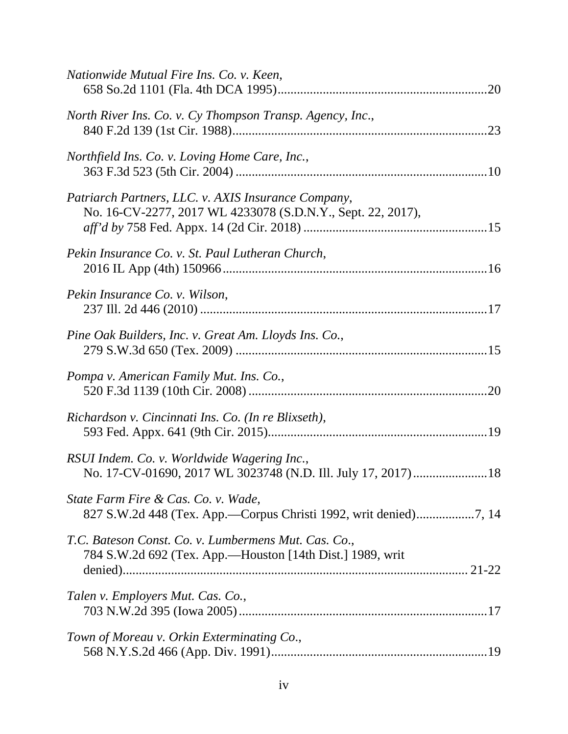| Nationwide Mutual Fire Ins. Co. v. Keen,                                                                           |
|--------------------------------------------------------------------------------------------------------------------|
| North River Ins. Co. v. Cy Thompson Transp. Agency, Inc.,                                                          |
| Northfield Ins. Co. v. Loving Home Care, Inc.,                                                                     |
| Patriarch Partners, LLC. v. AXIS Insurance Company,<br>No. 16-CV-2277, 2017 WL 4233078 (S.D.N.Y., Sept. 22, 2017), |
| Pekin Insurance Co. v. St. Paul Lutheran Church,                                                                   |
| Pekin Insurance Co. v. Wilson,                                                                                     |
| Pine Oak Builders, Inc. v. Great Am. Lloyds Ins. Co.,                                                              |
| Pompa v. American Family Mut. Ins. Co.,                                                                            |
| Richardson v. Cincinnati Ins. Co. (In re Blixseth),                                                                |
| RSUI Indem. Co. v. Worldwide Wagering Inc.,<br>No. 17-CV-01690, 2017 WL 3023748 (N.D. Ill. July 17, 2017)18        |
| State Farm Fire & Cas. Co. v. Wade,                                                                                |
| T.C. Bateson Const. Co. v. Lumbermens Mut. Cas. Co.,<br>784 S.W.2d 692 (Tex. App.—Houston [14th Dist.] 1989, writ  |
| Talen v. Employers Mut. Cas. Co.,                                                                                  |
| Town of Moreau v. Orkin Exterminating Co.,                                                                         |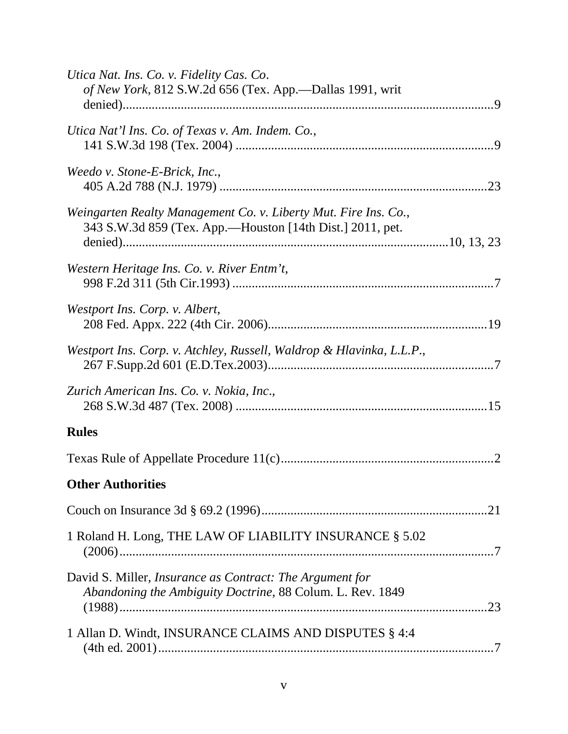| Utica Nat. Ins. Co. v. Fidelity Cas. Co.<br>of New York, 812 S.W.2d 656 (Tex. App.—Dallas 1991, writ                         |  |
|------------------------------------------------------------------------------------------------------------------------------|--|
| Utica Nat'l Ins. Co. of Texas v. Am. Indem. Co.,                                                                             |  |
| Weedo v. Stone-E-Brick, Inc.,                                                                                                |  |
| Weingarten Realty Management Co. v. Liberty Mut. Fire Ins. Co.,<br>343 S.W.3d 859 (Tex. App.—Houston [14th Dist.] 2011, pet. |  |
| Western Heritage Ins. Co. v. River Entm't,                                                                                   |  |
| Westport Ins. Corp. v. Albert,                                                                                               |  |
| Westport Ins. Corp. v. Atchley, Russell, Waldrop & Hlavinka, L.L.P.,                                                         |  |
| Zurich American Ins. Co. v. Nokia, Inc.,                                                                                     |  |
| <b>Rules</b>                                                                                                                 |  |
|                                                                                                                              |  |
| <b>Other Authorities</b>                                                                                                     |  |
|                                                                                                                              |  |
| 1 Roland H. Long, THE LAW OF LIABILITY INSURANCE § 5.02                                                                      |  |
| David S. Miller, <i>Insurance as Contract: The Argument for</i><br>Abandoning the Ambiguity Doctrine, 88 Colum. L. Rev. 1849 |  |
| 1 Allan D. Windt, INSURANCE CLAIMS AND DISPUTES § 4:4                                                                        |  |
|                                                                                                                              |  |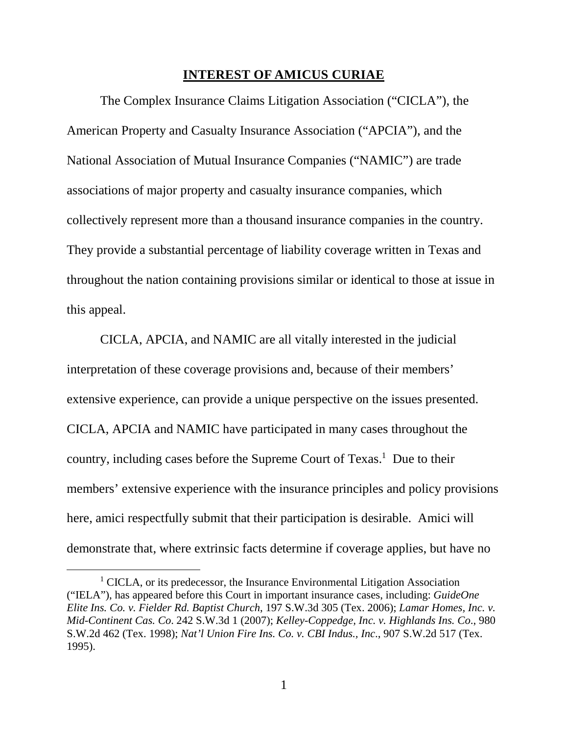#### **INTEREST OF AMICUS CURIAE**

The Complex Insurance Claims Litigation Association ("CICLA"), the American Property and Casualty Insurance Association ("APCIA"), and the National Association of Mutual Insurance Companies ("NAMIC") are trade associations of major property and casualty insurance companies, which collectively represent more than a thousand insurance companies in the country. They provide a substantial percentage of liability coverage written in Texas and throughout the nation containing provisions similar or identical to those at issue in this appeal.

CICLA, APCIA, and NAMIC are all vitally interested in the judicial interpretation of these coverage provisions and, because of their members' extensive experience, can provide a unique perspective on the issues presented. CICLA, APCIA and NAMIC have participated in many cases throughout the country, including cases before the Supreme Court of Texas.<sup>1</sup> Due to their members' extensive experience with the insurance principles and policy provisions here, amici respectfully submit that their participation is desirable. Amici will demonstrate that, where extrinsic facts determine if coverage applies, but have no

<sup>&</sup>lt;sup>1</sup> CICLA, or its predecessor, the Insurance Environmental Litigation Association ("IELA"), has appeared before this Court in important insurance cases, including: *GuideOne Elite Ins. Co. v. Fielder Rd. Baptist Church*, 197 S.W.3d 305 (Tex. 2006); *Lamar Homes, Inc. v. Mid-Continent Cas. Co*. 242 S.W.3d 1 (2007); *Kelley-Coppedge, Inc. v. Highlands Ins. Co*., 980 S.W.2d 462 (Tex. 1998); *Nat'l Union Fire Ins. Co. v. CBI Indus., Inc*., 907 S.W.2d 517 (Tex. 1995).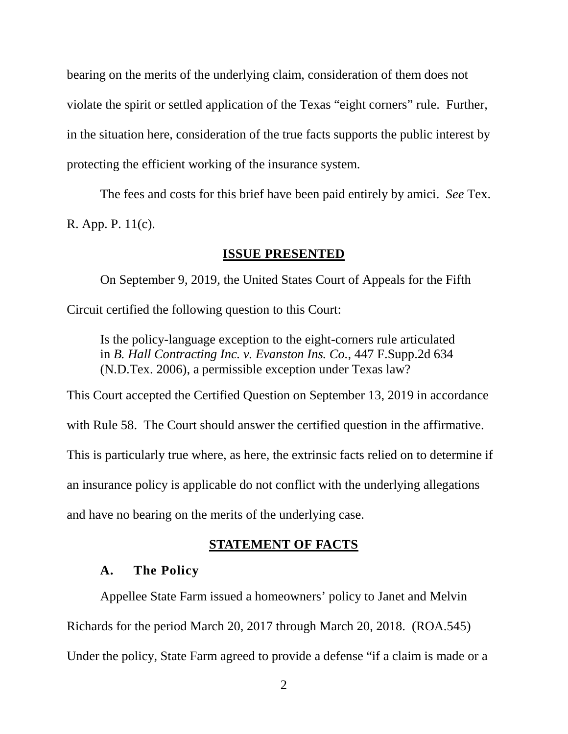bearing on the merits of the underlying claim, consideration of them does not violate the spirit or settled application of the Texas "eight corners" rule. Further, in the situation here, consideration of the true facts supports the public interest by protecting the efficient working of the insurance system.

The fees and costs for this brief have been paid entirely by amici. *See* Tex. R. App. P. 11(c).

#### **ISSUE PRESENTED**

On September 9, 2019, the United States Court of Appeals for the Fifth Circuit certified the following question to this Court:

Is the policy-language exception to the eight-corners rule articulated in *B. Hall Contracting Inc. v. Evanston Ins. Co.*, 447 F.Supp.2d 634 (N.D.Tex. 2006), a permissible exception under Texas law?

This Court accepted the Certified Question on September 13, 2019 in accordance

with Rule 58. The Court should answer the certified question in the affirmative.

This is particularly true where, as here, the extrinsic facts relied on to determine if

an insurance policy is applicable do not conflict with the underlying allegations

and have no bearing on the merits of the underlying case.

#### **STATEMENT OF FACTS**

#### **A. The Policy**

Appellee State Farm issued a homeowners' policy to Janet and Melvin Richards for the period March 20, 2017 through March 20, 2018. (ROA.545) Under the policy, State Farm agreed to provide a defense "if a claim is made or a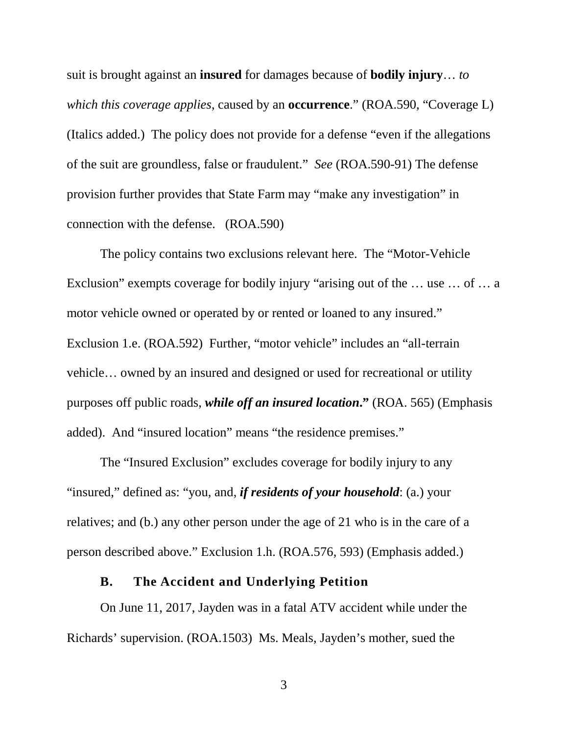suit is brought against an **insured** for damages because of **bodily injury**… *to which this coverage applies*, caused by an **occurrence**." (ROA.590, "Coverage L) (Italics added.) The policy does not provide for a defense "even if the allegations of the suit are groundless, false or fraudulent." *See* (ROA.590-91) The defense provision further provides that State Farm may "make any investigation" in connection with the defense. (ROA.590)

The policy contains two exclusions relevant here. The "Motor-Vehicle Exclusion" exempts coverage for bodily injury "arising out of the … use … of … a motor vehicle owned or operated by or rented or loaned to any insured." Exclusion 1.e. (ROA.592) Further, "motor vehicle" includes an "all-terrain vehicle… owned by an insured and designed or used for recreational or utility purposes off public roads, *while off an insured location***."** (ROA. 565) (Emphasis added). And "insured location" means "the residence premises."

The "Insured Exclusion" excludes coverage for bodily injury to any "insured," defined as: "you, and, *if residents of your household*: (a.) your relatives; and (b.) any other person under the age of 21 who is in the care of a person described above." Exclusion 1.h. (ROA.576, 593) (Emphasis added.)

#### **B. The Accident and Underlying Petition**

On June 11, 2017, Jayden was in a fatal ATV accident while under the Richards' supervision. (ROA.1503) Ms. Meals, Jayden's mother, sued the

3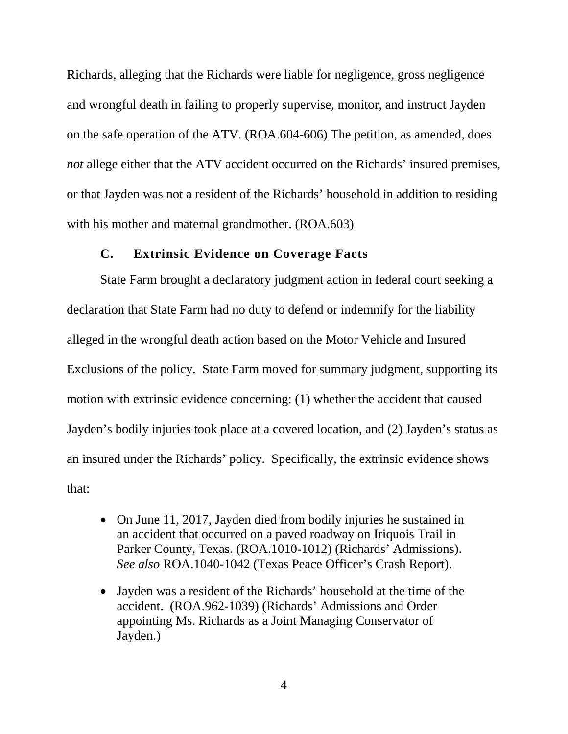Richards, alleging that the Richards were liable for negligence, gross negligence and wrongful death in failing to properly supervise, monitor, and instruct Jayden on the safe operation of the ATV. (ROA.604-606) The petition, as amended, does *not* allege either that the ATV accident occurred on the Richards' insured premises, or that Jayden was not a resident of the Richards' household in addition to residing with his mother and maternal grandmother. (ROA.603)

#### **C. Extrinsic Evidence on Coverage Facts**

State Farm brought a declaratory judgment action in federal court seeking a declaration that State Farm had no duty to defend or indemnify for the liability alleged in the wrongful death action based on the Motor Vehicle and Insured Exclusions of the policy. State Farm moved for summary judgment, supporting its motion with extrinsic evidence concerning: (1) whether the accident that caused Jayden's bodily injuries took place at a covered location, and (2) Jayden's status as an insured under the Richards' policy. Specifically, the extrinsic evidence shows that:

- On June 11, 2017, Jayden died from bodily injuries he sustained in an accident that occurred on a paved roadway on Iriquois Trail in Parker County, Texas. (ROA.1010-1012) (Richards' Admissions). *See also* ROA.1040-1042 (Texas Peace Officer's Crash Report).
- Jayden was a resident of the Richards' household at the time of the accident. (ROA.962-1039) (Richards' Admissions and Order appointing Ms. Richards as a Joint Managing Conservator of Jayden.)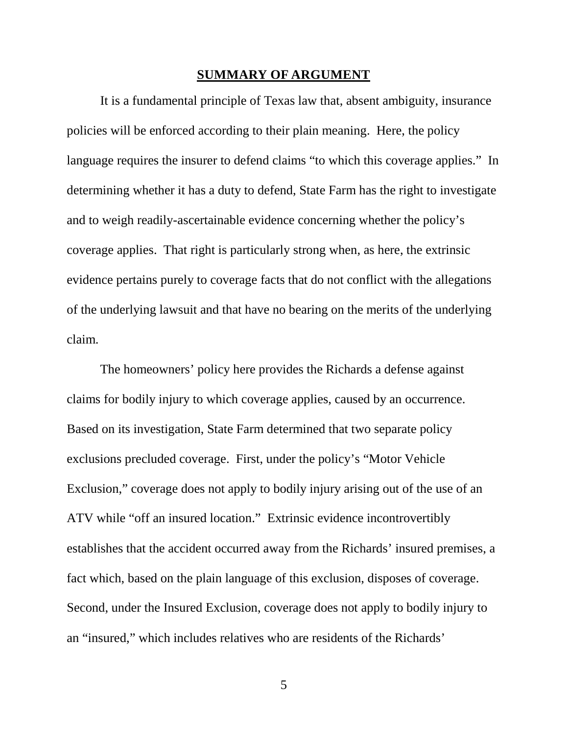#### **SUMMARY OF ARGUMENT**

It is a fundamental principle of Texas law that, absent ambiguity, insurance policies will be enforced according to their plain meaning. Here, the policy language requires the insurer to defend claims "to which this coverage applies." In determining whether it has a duty to defend, State Farm has the right to investigate and to weigh readily-ascertainable evidence concerning whether the policy's coverage applies. That right is particularly strong when, as here, the extrinsic evidence pertains purely to coverage facts that do not conflict with the allegations of the underlying lawsuit and that have no bearing on the merits of the underlying claim.

The homeowners' policy here provides the Richards a defense against claims for bodily injury to which coverage applies, caused by an occurrence. Based on its investigation, State Farm determined that two separate policy exclusions precluded coverage. First, under the policy's "Motor Vehicle Exclusion," coverage does not apply to bodily injury arising out of the use of an ATV while "off an insured location." Extrinsic evidence incontrovertibly establishes that the accident occurred away from the Richards' insured premises, a fact which, based on the plain language of this exclusion, disposes of coverage. Second, under the Insured Exclusion, coverage does not apply to bodily injury to an "insured," which includes relatives who are residents of the Richards'

5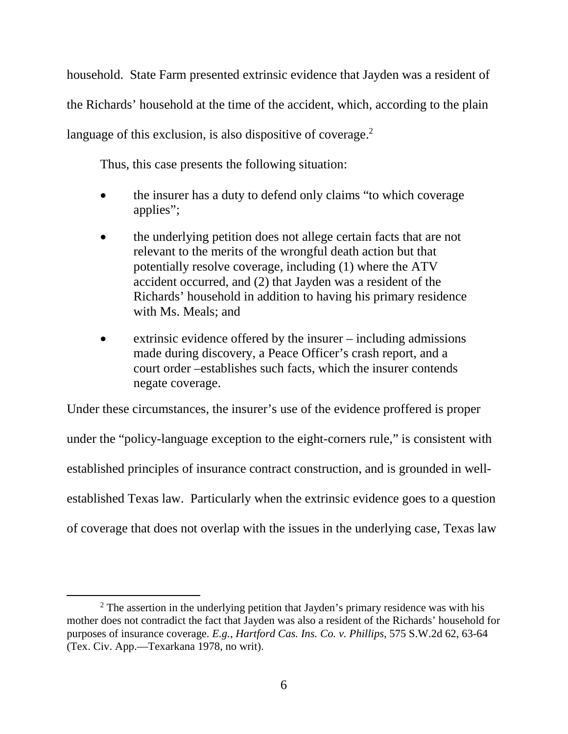household. State Farm presented extrinsic evidence that Jayden was a resident of the Richards' household at the time of the accident, which, according to the plain language of this exclusion, is also dispositive of coverage. $2$ 

Thus, this case presents the following situation:

- the insurer has a duty to defend only claims "to which coverage applies";
- the underlying petition does not allege certain facts that are not relevant to the merits of the wrongful death action but that potentially resolve coverage, including (1) where the ATV accident occurred, and (2) that Jayden was a resident of the Richards' household in addition to having his primary residence with Ms. Meals; and
- extrinsic evidence offered by the insurer including admissions made during discovery, a Peace Officer's crash report, and a court order –establishes such facts, which the insurer contends negate coverage.

Under these circumstances, the insurer's use of the evidence proffered is proper under the "policy-language exception to the eight-corners rule," is consistent with established principles of insurance contract construction, and is grounded in wellestablished Texas law. Particularly when the extrinsic evidence goes to a question of coverage that does not overlap with the issues in the underlying case, Texas law

l

 $2^2$  The assertion in the underlying petition that Jayden's primary residence was with his mother does not contradict the fact that Jayden was also a resident of the Richards' household for purposes of insurance coverage. *E.g.*, *Hartford Cas. Ins. Co. v. Phillips*, 575 S.W.2d 62, 63-64 (Tex. Civ. App.—Texarkana 1978, no writ).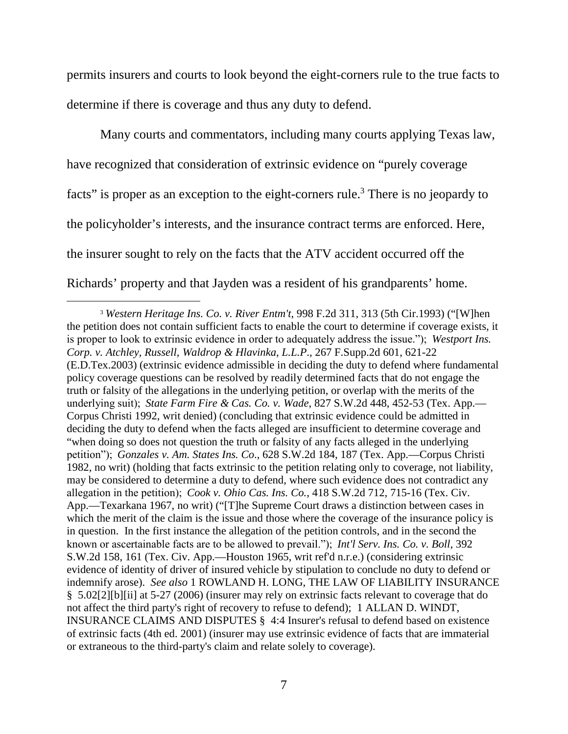permits insurers and courts to look beyond the eight-corners rule to the true facts to determine if there is coverage and thus any duty to defend.

Many courts and commentators, including many courts applying Texas law, have recognized that consideration of extrinsic evidence on "purely coverage facts" is proper as an exception to the eight-corners rule.<sup>3</sup> There is no jeopardy to the policyholder's interests, and the insurance contract terms are enforced. Here, the insurer sought to rely on the facts that the ATV accident occurred off the Richards' property and that Jayden was a resident of his grandparents' home.

<sup>3</sup> *Western Heritage Ins. Co. v. River Entm't*, 998 F.2d 311, 313 (5th Cir.1993) ("[W]hen the petition does not contain sufficient facts to enable the court to determine if coverage exists, it is proper to look to extrinsic evidence in order to adequately address the issue.");  *Westport Ins. Corp. v. Atchley, Russell, Waldrop & Hlavinka, L.L.P*., 267 F.Supp.2d 601, 621-22 (E.D.Tex.2003) (extrinsic evidence admissible in deciding the duty to defend where fundamental policy coverage questions can be resolved by readily determined facts that do not engage the truth or falsity of the allegations in the underlying petition, or overlap with the merits of the underlying suit);  *State Farm Fire & Cas. Co. v. Wade*, 827 S.W.2d 448, 452-53 (Tex. App.— Corpus Christi 1992, writ denied) (concluding that extrinsic evidence could be admitted in deciding the duty to defend when the facts alleged are insufficient to determine coverage and "when doing so does not question the truth or falsity of any facts alleged in the underlying petition");  *Gonzales v. Am. States Ins. Co*., 628 S.W.2d 184, 187 (Tex. App.—Corpus Christi 1982, no writ) (holding that facts extrinsic to the petition relating only to coverage, not liability, may be considered to determine a duty to defend, where such evidence does not contradict any allegation in the petition);  *Cook v. Ohio Cas. Ins. Co.*, 418 S.W.2d 712, 715-16 (Tex. Civ. App.—Texarkana 1967, no writ) ("[T]he Supreme Court draws a distinction between cases in which the merit of the claim is the issue and those where the coverage of the insurance policy is in question. In the first instance the allegation of the petition controls, and in the second the known or ascertainable facts are to be allowed to prevail.");  *Int'l Serv. Ins. Co. v. Boll*, 392 S.W.2d 158, 161 (Tex. Civ. App.—Houston 1965, writ ref'd n.r.e.) (considering extrinsic evidence of identity of driver of insured vehicle by stipulation to conclude no duty to defend or indemnify arose). *See also* 1 ROWLAND H. LONG, THE LAW OF LIABILITY INSURANCE § 5.02[2][b][ii] at 5-27 (2006) (insurer may rely on extrinsic facts relevant to coverage that do not affect the third party's right of recovery to refuse to defend); 1 ALLAN D. WINDT, INSURANCE CLAIMS AND DISPUTES § 4:4 Insurer's refusal to defend based on existence of extrinsic facts (4th ed. 2001) (insurer may use extrinsic evidence of facts that are immaterial or extraneous to the third-party's claim and relate solely to coverage).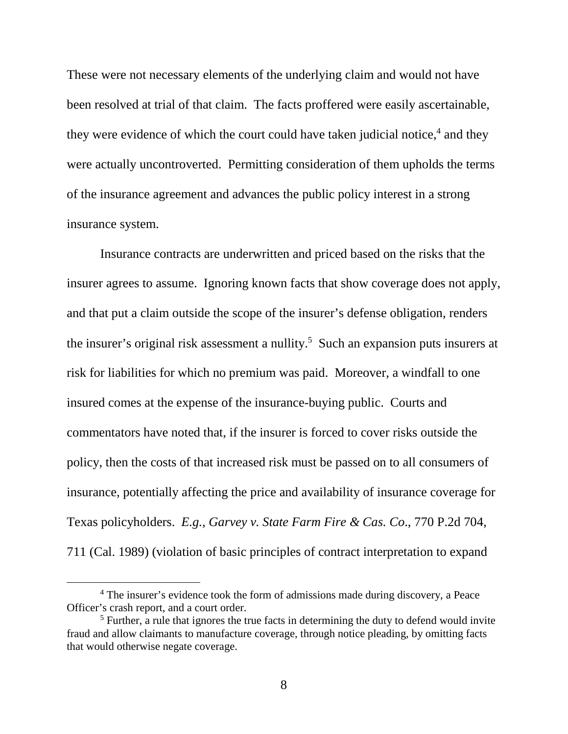These were not necessary elements of the underlying claim and would not have been resolved at trial of that claim. The facts proffered were easily ascertainable, they were evidence of which the court could have taken judicial notice,<sup>4</sup> and they were actually uncontroverted. Permitting consideration of them upholds the terms of the insurance agreement and advances the public policy interest in a strong insurance system.

Insurance contracts are underwritten and priced based on the risks that the insurer agrees to assume. Ignoring known facts that show coverage does not apply, and that put a claim outside the scope of the insurer's defense obligation, renders the insurer's original risk assessment a nullity.<sup>5</sup> Such an expansion puts insurers at risk for liabilities for which no premium was paid. Moreover, a windfall to one insured comes at the expense of the insurance-buying public. Courts and commentators have noted that, if the insurer is forced to cover risks outside the policy, then the costs of that increased risk must be passed on to all consumers of insurance, potentially affecting the price and availability of insurance coverage for Texas policyholders. *E.g., Garvey v. State Farm Fire & Cas. Co*., 770 P.2d 704, 711 (Cal. 1989) (violation of basic principles of contract interpretation to expand

<sup>&</sup>lt;sup>4</sup> The insurer's evidence took the form of admissions made during discovery, a Peace Officer's crash report, and a court order.

 $<sup>5</sup>$  Further, a rule that ignores the true facts in determining the duty to defend would invite</sup> fraud and allow claimants to manufacture coverage, through notice pleading, by omitting facts that would otherwise negate coverage.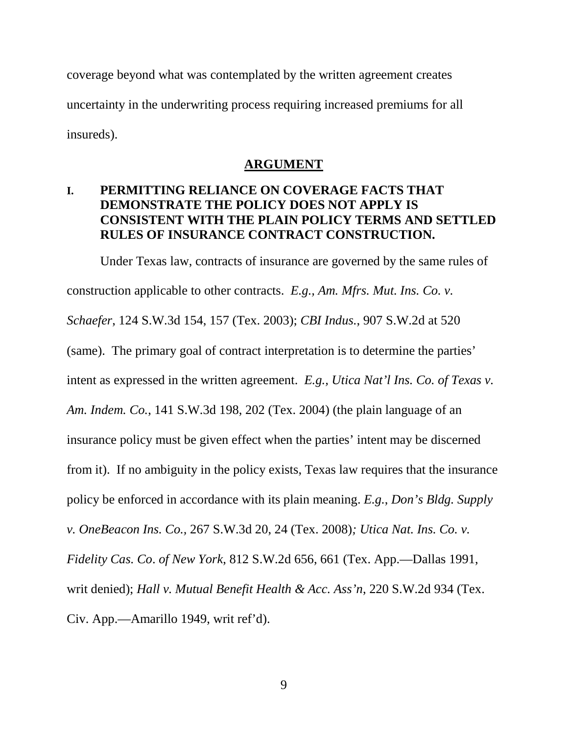coverage beyond what was contemplated by the written agreement creates uncertainty in the underwriting process requiring increased premiums for all insureds).

#### **ARGUMENT**

## **I. PERMITTING RELIANCE ON COVERAGE FACTS THAT DEMONSTRATE THE POLICY DOES NOT APPLY IS CONSISTENT WITH THE PLAIN POLICY TERMS AND SETTLED RULES OF INSURANCE CONTRACT CONSTRUCTION.**

Under Texas law, contracts of insurance are governed by the same rules of construction applicable to other contracts. *E.g., Am. Mfrs. Mut. Ins. Co. v. Schaefer*, 124 S.W.3d 154, 157 (Tex. 2003); *CBI Indus.*, 907 S.W.2d at 520 (same). The primary goal of contract interpretation is to determine the parties' intent as expressed in the written agreement. *E.g., Utica Nat'l Ins. Co. of Texas v. Am. Indem. Co.*, 141 S.W.3d 198, 202 (Tex. 2004) (the plain language of an insurance policy must be given effect when the parties' intent may be discerned from it). If no ambiguity in the policy exists, Texas law requires that the insurance policy be enforced in accordance with its plain meaning. *E.g.*, *Don's Bldg. Supply v. OneBeacon Ins. Co.,* 267 S.W.3d 20, 24 (Tex. 2008)*; Utica Nat. Ins. Co. v. Fidelity Cas. Co*. *of New York*, 812 S.W.2d 656, 661 (Tex. App.—Dallas 1991, writ denied); *Hall v. Mutual Benefit Health & Acc. Ass'n*, 220 S.W.2d 934 (Tex. Civ. App.—Amarillo 1949, writ ref'd).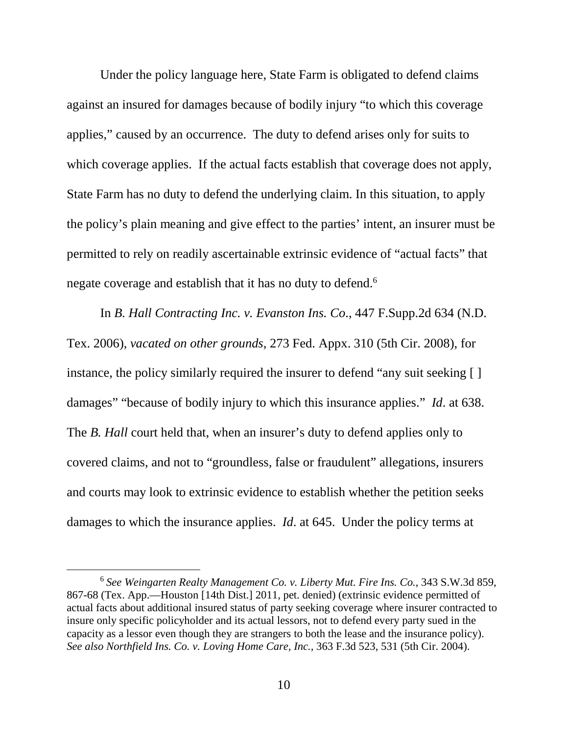Under the policy language here, State Farm is obligated to defend claims against an insured for damages because of bodily injury "to which this coverage applies," caused by an occurrence. The duty to defend arises only for suits to which coverage applies. If the actual facts establish that coverage does not apply, State Farm has no duty to defend the underlying claim. In this situation, to apply the policy's plain meaning and give effect to the parties' intent, an insurer must be permitted to rely on readily ascertainable extrinsic evidence of "actual facts" that negate coverage and establish that it has no duty to defend.<sup>6</sup>

In *B. Hall Contracting Inc. v. Evanston Ins. Co*., 447 F.Supp.2d 634 (N.D. Tex. 2006), *vacated on other grounds*, 273 Fed. Appx. 310 (5th Cir. 2008), for instance, the policy similarly required the insurer to defend "any suit seeking [ ] damages" "because of bodily injury to which this insurance applies." *Id*. at 638. The *B. Hall* court held that, when an insurer's duty to defend applies only to covered claims, and not to "groundless, false or fraudulent" allegations, insurers and courts may look to extrinsic evidence to establish whether the petition seeks damages to which the insurance applies. *Id*. at 645. Under the policy terms at

<sup>6</sup> *See Weingarten Realty Management Co. v. Liberty Mut. Fire Ins. Co.*, 343 S.W.3d 859, 867-68 (Tex. App.—Houston [14th Dist.] 2011, pet. denied) (extrinsic evidence permitted of actual facts about additional insured status of party seeking coverage where insurer contracted to insure only specific policyholder and its actual lessors, not to defend every party sued in the capacity as a lessor even though they are strangers to both the lease and the insurance policy). *See also Northfield Ins. Co. v. Loving Home Care, Inc.,* 363 F.3d 523, 531 (5th Cir. 2004).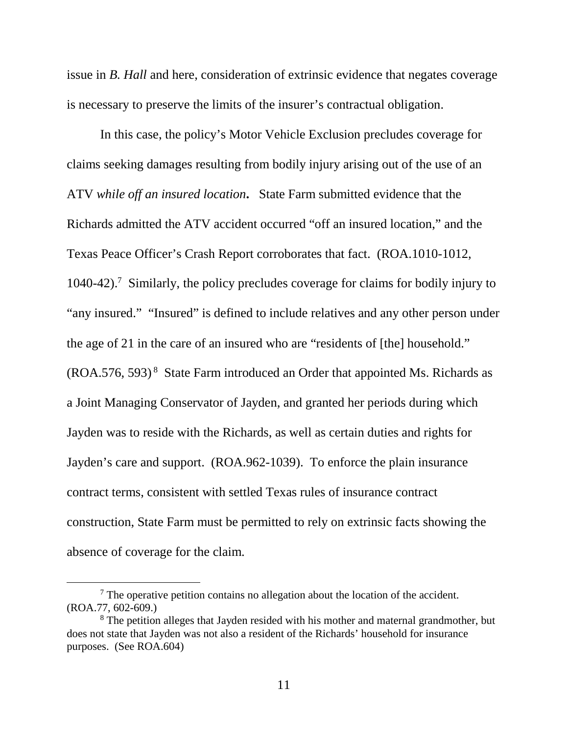issue in *B. Hall* and here, consideration of extrinsic evidence that negates coverage is necessary to preserve the limits of the insurer's contractual obligation.

In this case, the policy's Motor Vehicle Exclusion precludes coverage for claims seeking damages resulting from bodily injury arising out of the use of an ATV *while off an insured location***.** State Farm submitted evidence that the Richards admitted the ATV accident occurred "off an insured location," and the Texas Peace Officer's Crash Report corroborates that fact. (ROA.1010-1012, 1040-42).<sup>7</sup> Similarly, the policy precludes coverage for claims for bodily injury to "any insured." "Insured" is defined to include relatives and any other person under the age of 21 in the care of an insured who are "residents of [the] household."  $(ROA.576, 593)^8$  State Farm introduced an Order that appointed Ms. Richards as a Joint Managing Conservator of Jayden, and granted her periods during which Jayden was to reside with the Richards, as well as certain duties and rights for Jayden's care and support. (ROA.962-1039). To enforce the plain insurance contract terms, consistent with settled Texas rules of insurance contract construction, State Farm must be permitted to rely on extrinsic facts showing the absence of coverage for the claim.

 $7$  The operative petition contains no allegation about the location of the accident. (ROA.77, 602-609.)

<sup>&</sup>lt;sup>8</sup> The petition alleges that Jayden resided with his mother and maternal grandmother, but does not state that Jayden was not also a resident of the Richards' household for insurance purposes. (See ROA.604)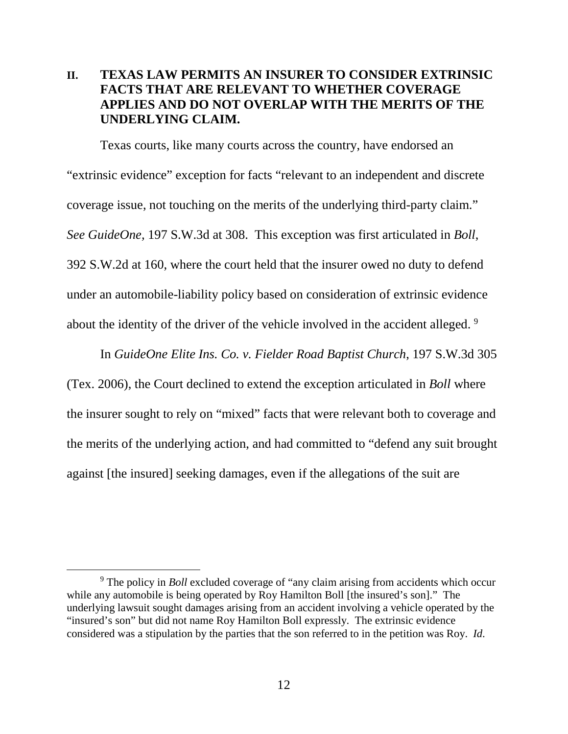## **II. TEXAS LAW PERMITS AN INSURER TO CONSIDER EXTRINSIC FACTS THAT ARE RELEVANT TO WHETHER COVERAGE APPLIES AND DO NOT OVERLAP WITH THE MERITS OF THE UNDERLYING CLAIM.**

Texas courts, like many courts across the country, have endorsed an "extrinsic evidence" exception for facts "relevant to an independent and discrete coverage issue, not touching on the merits of the underlying third-party claim." *See GuideOne,* 197 S.W.3d at 308. This exception was first articulated in *Boll*, 392 S.W.2d at 160, where the court held that the insurer owed no duty to defend under an automobile-liability policy based on consideration of extrinsic evidence about the identity of the driver of the vehicle involved in the accident alleged.<sup>9</sup>

In *GuideOne Elite Ins. Co. v. Fielder Road Baptist Church*, 197 S.W.3d 305 (Tex. 2006), the Court declined to extend the exception articulated in *Boll* where the insurer sought to rely on "mixed" facts that were relevant both to coverage and the merits of the underlying action, and had committed to "defend any suit brought against [the insured] seeking damages, even if the allegations of the suit are

<sup>&</sup>lt;sup>9</sup> The policy in *Boll* excluded coverage of "any claim arising from accidents which occur while any automobile is being operated by Roy Hamilton Boll [the insured's son]." The underlying lawsuit sought damages arising from an accident involving a vehicle operated by the "insured's son" but did not name Roy Hamilton Boll expressly. The extrinsic evidence considered was a stipulation by the parties that the son referred to in the petition was Roy. *Id*.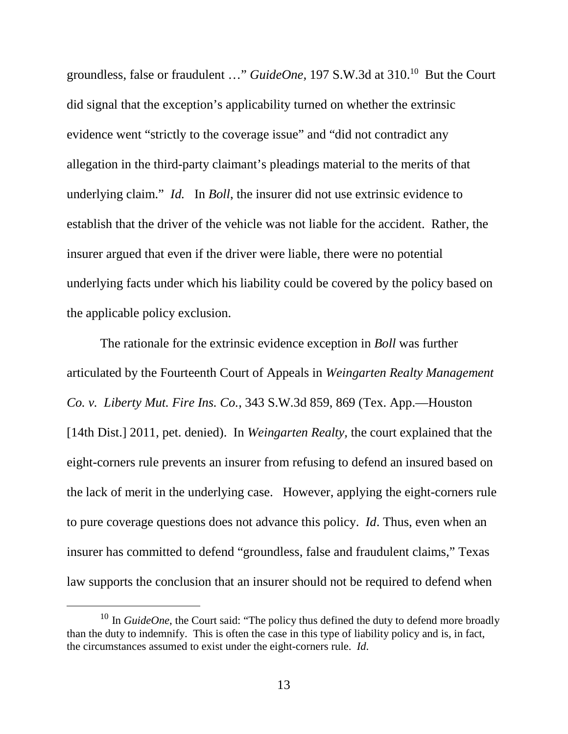groundless, false or fraudulent …" *GuideOne,* 197 S.W.3d at 310.<sup>10</sup> But the Court did signal that the exception's applicability turned on whether the extrinsic evidence went "strictly to the coverage issue" and "did not contradict any allegation in the third-party claimant's pleadings material to the merits of that underlying claim." *Id.* In *Boll*, the insurer did not use extrinsic evidence to establish that the driver of the vehicle was not liable for the accident. Rather, the insurer argued that even if the driver were liable, there were no potential underlying facts under which his liability could be covered by the policy based on the applicable policy exclusion.

The rationale for the extrinsic evidence exception in *Boll* was further articulated by the Fourteenth Court of Appeals in *Weingarten Realty Management Co. v. Liberty Mut. Fire Ins. Co.*, 343 S.W.3d 859, 869 (Tex. App.—Houston [14th Dist.] 2011, pet. denied). In *Weingarten Realty,* the court explained that the eight-corners rule prevents an insurer from refusing to defend an insured based on the lack of merit in the underlying case. However, applying the eight-corners rule to pure coverage questions does not advance this policy. *Id*. Thus, even when an insurer has committed to defend "groundless, false and fraudulent claims," Texas law supports the conclusion that an insurer should not be required to defend when

<sup>&</sup>lt;sup>10</sup> In *GuideOne*, the Court said: "The policy thus defined the duty to defend more broadly than the duty to indemnify. This is often the case in this type of liability policy and is, in fact, the circumstances assumed to exist under the eight-corners rule. *Id*.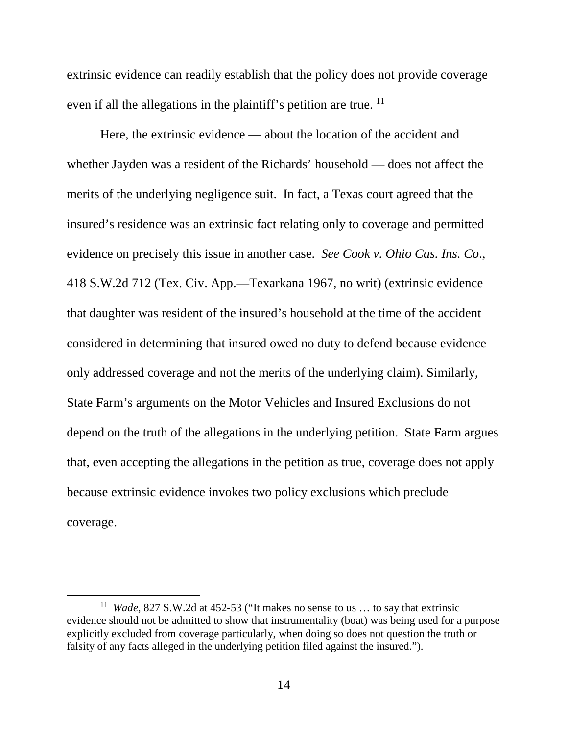extrinsic evidence can readily establish that the policy does not provide coverage even if all the allegations in the plaintiff's petition are true.  $^{11}$ 

Here, the extrinsic evidence — about the location of the accident and whether Jayden was a resident of the Richards' household — does not affect the merits of the underlying negligence suit. In fact, a Texas court agreed that the insured's residence was an extrinsic fact relating only to coverage and permitted evidence on precisely this issue in another case. *See Cook v. Ohio Cas. Ins. Co*., 418 S.W.2d 712 (Tex. Civ. App.—Texarkana 1967, no writ) (extrinsic evidence that daughter was resident of the insured's household at the time of the accident considered in determining that insured owed no duty to defend because evidence only addressed coverage and not the merits of the underlying claim). Similarly, State Farm's arguments on the Motor Vehicles and Insured Exclusions do not depend on the truth of the allegations in the underlying petition. State Farm argues that, even accepting the allegations in the petition as true, coverage does not apply because extrinsic evidence invokes two policy exclusions which preclude coverage.

l

<sup>11</sup> *Wade*, 827 S.W.2d at 452-53 ("It makes no sense to us … to say that extrinsic evidence should not be admitted to show that instrumentality (boat) was being used for a purpose explicitly excluded from coverage particularly, when doing so does not question the truth or falsity of any facts alleged in the underlying petition filed against the insured.").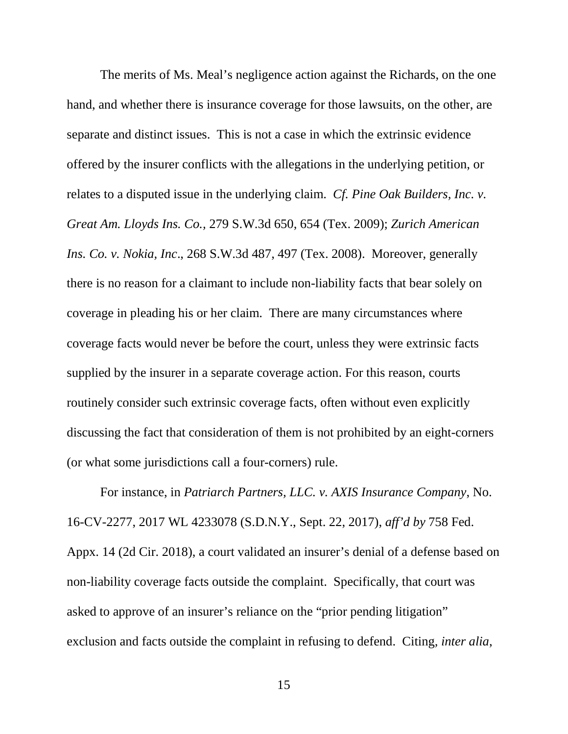The merits of Ms. Meal's negligence action against the Richards, on the one hand, and whether there is insurance coverage for those lawsuits, on the other, are separate and distinct issues. This is not a case in which the extrinsic evidence offered by the insurer conflicts with the allegations in the underlying petition, or relates to a disputed issue in the underlying claim. *Cf. Pine Oak Builders, Inc. v. Great Am. Lloyds Ins. Co.,* 279 S.W.3d 650, 654 (Tex. 2009); *Zurich American Ins. Co. v. Nokia, Inc*., 268 S.W.3d 487, 497 (Tex. 2008). Moreover, generally there is no reason for a claimant to include non-liability facts that bear solely on coverage in pleading his or her claim. There are many circumstances where coverage facts would never be before the court, unless they were extrinsic facts supplied by the insurer in a separate coverage action. For this reason, courts routinely consider such extrinsic coverage facts, often without even explicitly discussing the fact that consideration of them is not prohibited by an eight-corners (or what some jurisdictions call a four-corners) rule.

For instance, in *Patriarch Partners, LLC. v. AXIS Insurance Company*, No. 16-CV-2277, 2017 WL 4233078 (S.D.N.Y., Sept. 22, 2017), *aff'd by* 758 Fed. Appx. 14 (2d Cir. 2018), a court validated an insurer's denial of a defense based on non-liability coverage facts outside the complaint. Specifically, that court was asked to approve of an insurer's reliance on the "prior pending litigation" exclusion and facts outside the complaint in refusing to defend. Citing*, inter alia*,

15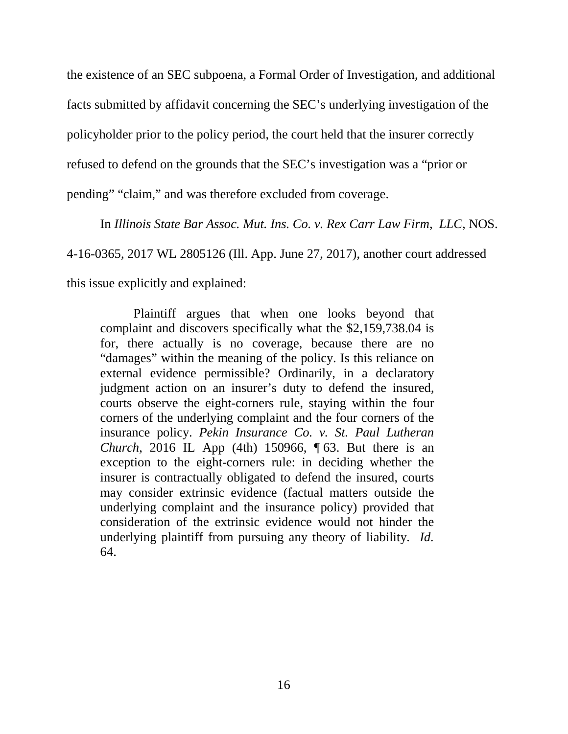the existence of an SEC subpoena, a Formal Order of Investigation, and additional facts submitted by affidavit concerning the SEC's underlying investigation of the policyholder prior to the policy period, the court held that the insurer correctly refused to defend on the grounds that the SEC's investigation was a "prior or pending" "claim," and was therefore excluded from coverage.

In *Illinois State Bar Assoc. Mut. Ins. Co. v. Rex Carr Law Firm, LLC*, NOS. 4-16-0365, 2017 WL 2805126 (Ill. App. June 27, 2017), another court addressed this issue explicitly and explained:

Plaintiff argues that when one looks beyond that complaint and discovers specifically what the \$2,159,738.04 is for, there actually is no coverage, because there are no "damages" within the meaning of the policy. Is this reliance on external evidence permissible? Ordinarily, in a declaratory judgment action on an insurer's duty to defend the insured, courts observe the eight-corners rule, staying within the four corners of the underlying complaint and the four corners of the insurance policy. *Pekin Insurance Co. v. St. Paul Lutheran Church*, 2016 IL App (4th) 150966, 163. But there is an exception to the eight-corners rule: in deciding whether the insurer is contractually obligated to defend the insured, courts may consider extrinsic evidence (factual matters outside the underlying complaint and the insurance policy) provided that consideration of the extrinsic evidence would not hinder the underlying plaintiff from pursuing any theory of liability. *Id.* 64.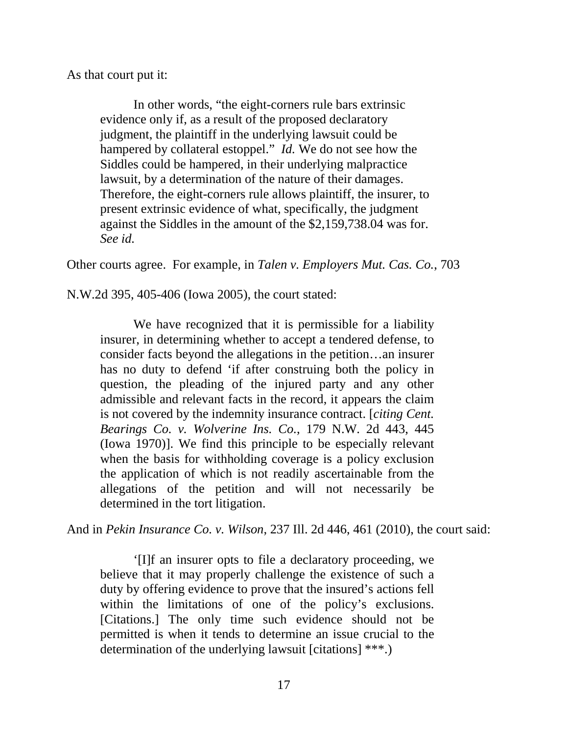As that court put it:

In other words, "the eight-corners rule bars extrinsic evidence only if, as a result of the proposed declaratory judgment, the plaintiff in the underlying lawsuit could be hampered by collateral estoppel." *Id.* We do not see how the Siddles could be hampered, in their underlying malpractice lawsuit, by a determination of the nature of their damages. Therefore, the eight-corners rule allows plaintiff, the insurer, to present extrinsic evidence of what, specifically, the judgment against the Siddles in the amount of the \$2,159,738.04 was for. *See id.*

Other courts agree. For example, in *Talen v. Employers Mut. Cas. Co.*, 703

N.W.2d 395, 405-406 (Iowa 2005), the court stated:

We have recognized that it is permissible for a liability insurer, in determining whether to accept a tendered defense, to consider facts beyond the allegations in the petition…an insurer has no duty to defend 'if after construing both the policy in question, the pleading of the injured party and any other admissible and relevant facts in the record, it appears the claim is not covered by the indemnity insurance contract. [*citing Cent. Bearings Co. v. Wolverine Ins. Co.*, 179 N.W. 2d 443, 445 (Iowa 1970)]. We find this principle to be especially relevant when the basis for withholding coverage is a policy exclusion the application of which is not readily ascertainable from the allegations of the petition and will not necessarily be determined in the tort litigation.

And in *Pekin Insurance Co. v. Wilson*, 237 Ill. 2d 446, 461 (2010), the court said:

'[I]f an insurer opts to file a declaratory proceeding, we believe that it may properly challenge the existence of such a duty by offering evidence to prove that the insured's actions fell within the limitations of one of the policy's exclusions. [Citations.] The only time such evidence should not be permitted is when it tends to determine an issue crucial to the determination of the underlying lawsuit [citations] \*\*\*.)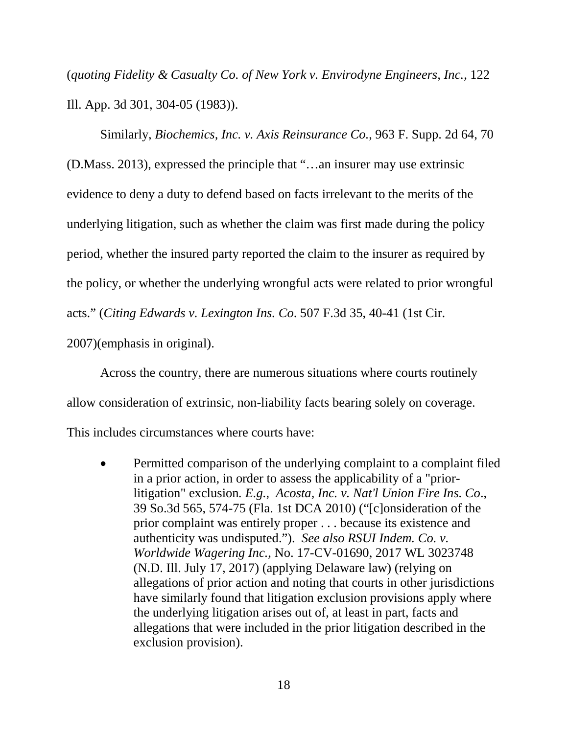(*quoting Fidelity & Casualty Co. of New York v. Envirodyne Engineers, Inc.*, 122 Ill. App. 3d 301, 304-05 (1983)).

Similarly, *Biochemics, Inc. v. Axis Reinsurance Co.*, 963 F. Supp. 2d 64, 70 (D.Mass. 2013), expressed the principle that "…an insurer may use extrinsic evidence to deny a duty to defend based on facts irrelevant to the merits of the underlying litigation, such as whether the claim was first made during the policy period, whether the insured party reported the claim to the insurer as required by the policy, or whether the underlying wrongful acts were related to prior wrongful acts." (*Citing Edwards v. Lexington Ins. Co*. 507 F.3d 35, 40-41 (1st Cir. 2007)(emphasis in original).

Across the country, there are numerous situations where courts routinely allow consideration of extrinsic, non-liability facts bearing solely on coverage. This includes circumstances where courts have:

• Permitted comparison of the underlying complaint to a complaint filed in a prior action, in order to assess the applicability of a "priorlitigation" exclusion*. E.g.*, *Acosta, Inc. v. Nat'l Union Fire Ins. Co*., 39 So.3d 565, 574-75 (Fla. 1st DCA 2010) ("[c]onsideration of the prior complaint was entirely proper . . . because its existence and authenticity was undisputed."). *See also RSUI Indem. Co. v. Worldwide Wagering Inc.*, No. 17-CV-01690, 2017 WL 3023748 (N.D. Ill. July 17, 2017) (applying Delaware law) (relying on allegations of prior action and noting that courts in other jurisdictions have similarly found that litigation exclusion provisions apply where the underlying litigation arises out of, at least in part, facts and allegations that were included in the prior litigation described in the exclusion provision).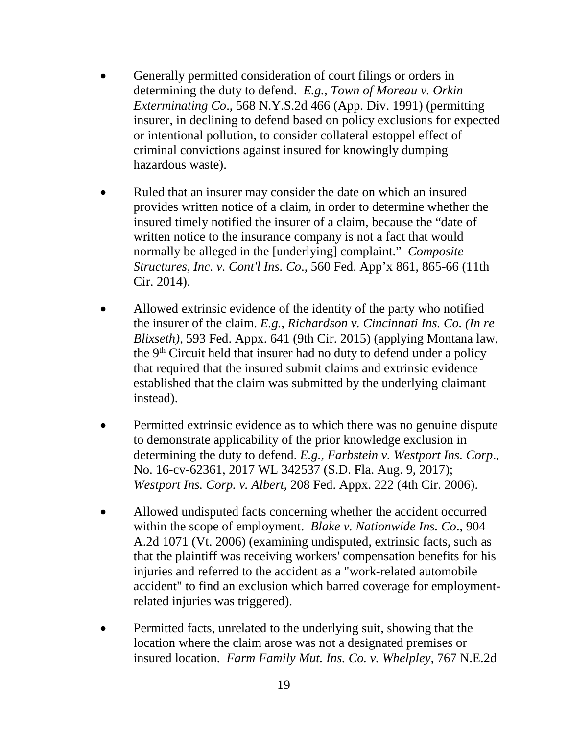- Generally permitted consideration of court filings or orders in determining the duty to defend. *E.g., Town of Moreau v. Orkin Exterminating Co*., 568 N.Y.S.2d 466 (App. Div. 1991) (permitting insurer, in declining to defend based on policy exclusions for expected or intentional pollution, to consider collateral estoppel effect of criminal convictions against insured for knowingly dumping hazardous waste).
- Ruled that an insurer may consider the date on which an insured provides written notice of a claim, in order to determine whether the insured timely notified the insurer of a claim, because the "date of written notice to the insurance company is not a fact that would normally be alleged in the [underlying] complaint." *Composite Structures, Inc. v. Cont'l Ins. Co*., 560 Fed. App'x 861, 865-66 (11th Cir. 2014).
- Allowed extrinsic evidence of the identity of the party who notified the insurer of the claim. *E.g.*, *Richardson v. Cincinnati Ins. Co. (In re Blixseth)*, 593 Fed. Appx. 641 (9th Cir. 2015) (applying Montana law, the  $9<sup>th</sup>$  Circuit held that insurer had no duty to defend under a policy that required that the insured submit claims and extrinsic evidence established that the claim was submitted by the underlying claimant instead).
- Permitted extrinsic evidence as to which there was no genuine dispute to demonstrate applicability of the prior knowledge exclusion in determining the duty to defend. *E.g.*, *Farbstein v. Westport Ins. Corp*., No. 16-cv-62361, 2017 WL 342537 (S.D. Fla. Aug. 9, 2017); *Westport Ins. Corp. v. Albert*, 208 Fed. Appx. 222 (4th Cir. 2006).
- Allowed undisputed facts concerning whether the accident occurred within the scope of employment. *Blake v. Nationwide Ins. Co*., 904 A.2d 1071 (Vt. 2006) (examining undisputed, extrinsic facts, such as that the plaintiff was receiving workers' compensation benefits for his injuries and referred to the accident as a "work-related automobile accident" to find an exclusion which barred coverage for employmentrelated injuries was triggered).
- Permitted facts, unrelated to the underlying suit, showing that the location where the claim arose was not a designated premises or insured location. *Farm Family Mut. Ins. Co. v. Whelpley*, 767 N.E.2d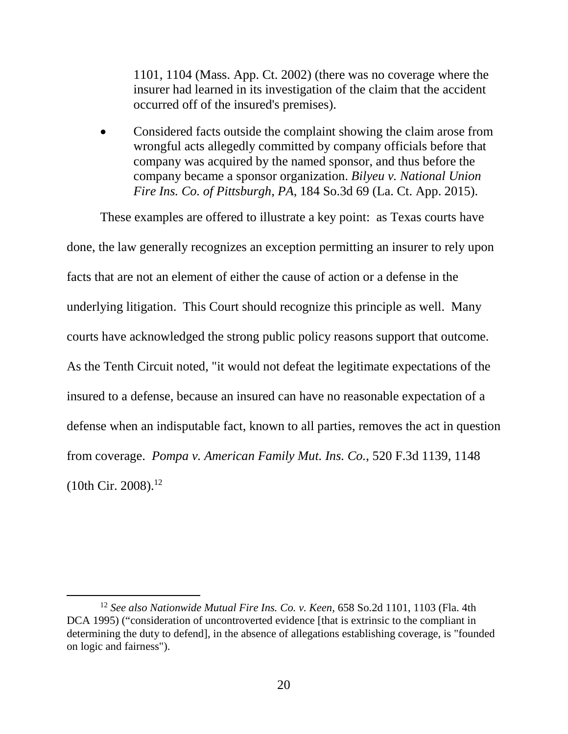1101, 1104 (Mass. App. Ct. 2002) (there was no coverage where the insurer had learned in its investigation of the claim that the accident occurred off of the insured's premises).

 Considered facts outside the complaint showing the claim arose from wrongful acts allegedly committed by company officials before that company was acquired by the named sponsor, and thus before the company became a sponsor organization. *Bilyeu v. National Union Fire Ins. Co. of Pittsburgh, PA*, 184 So.3d 69 (La. Ct. App. 2015).

These examples are offered to illustrate a key point: as Texas courts have done, the law generally recognizes an exception permitting an insurer to rely upon facts that are not an element of either the cause of action or a defense in the underlying litigation. This Court should recognize this principle as well. Many courts have acknowledged the strong public policy reasons support that outcome. As the Tenth Circuit noted, "it would not defeat the legitimate expectations of the insured to a defense, because an insured can have no reasonable expectation of a defense when an indisputable fact, known to all parties, removes the act in question from coverage. *Pompa v. American Family Mut. Ins. Co.*, 520 F.3d 1139, 1148  $(10th$  Cir. 2008).<sup>12</sup>

l

<sup>12</sup> *See also Nationwide Mutual Fire Ins. Co. v. Keen*, 658 So.2d 1101, 1103 (Fla. 4th DCA 1995) ("consideration of uncontroverted evidence [that is extrinsic to the compliant in determining the duty to defend], in the absence of allegations establishing coverage, is "founded on logic and fairness").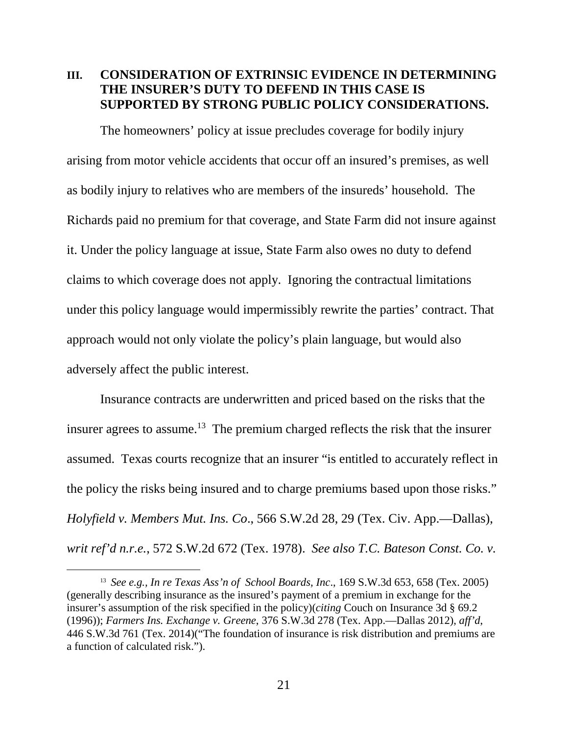### **III. CONSIDERATION OF EXTRINSIC EVIDENCE IN DETERMINING THE INSURER'S DUTY TO DEFEND IN THIS CASE IS SUPPORTED BY STRONG PUBLIC POLICY CONSIDERATIONS.**

The homeowners' policy at issue precludes coverage for bodily injury arising from motor vehicle accidents that occur off an insured's premises, as well as bodily injury to relatives who are members of the insureds' household. The Richards paid no premium for that coverage, and State Farm did not insure against it. Under the policy language at issue, State Farm also owes no duty to defend claims to which coverage does not apply. Ignoring the contractual limitations under this policy language would impermissibly rewrite the parties' contract. That approach would not only violate the policy's plain language, but would also adversely affect the public interest.

Insurance contracts are underwritten and priced based on the risks that the insurer agrees to assume.<sup>13</sup> The premium charged reflects the risk that the insurer assumed. Texas courts recognize that an insurer "is entitled to accurately reflect in the policy the risks being insured and to charge premiums based upon those risks." *Holyfield v. Members Mut. Ins. Co*., 566 S.W.2d 28, 29 (Tex. Civ. App.—Dallas), *writ ref'd n.r.e.*, 572 S.W.2d 672 (Tex. 1978). *See also T.C. Bateson Const. Co. v.* 

<sup>13</sup> *See e.g., In re Texas Ass'n of School Boards, Inc*., 169 S.W.3d 653, 658 (Tex. 2005) (generally describing insurance as the insured's payment of a premium in exchange for the insurer's assumption of the risk specified in the policy)(*citing* Couch on Insurance 3d § 69.2 (1996)); *Farmers Ins. Exchange v. Greene*, 376 S.W.3d 278 (Tex. App.—Dallas 2012), *aff'd*, 446 S.W.3d 761 (Tex. 2014)("The foundation of insurance is risk distribution and premiums are a function of calculated risk.").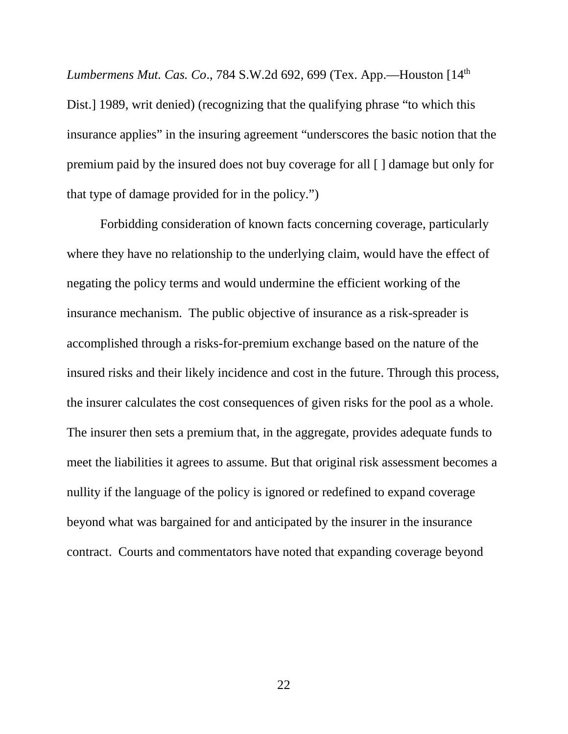*Lumbermens Mut. Cas. Co*., 784 S.W.2d 692, 699 (Tex. App.—Houston [14th Dist.] 1989, writ denied) (recognizing that the qualifying phrase "to which this insurance applies" in the insuring agreement "underscores the basic notion that the premium paid by the insured does not buy coverage for all [ ] damage but only for that type of damage provided for in the policy.")

Forbidding consideration of known facts concerning coverage, particularly where they have no relationship to the underlying claim, would have the effect of negating the policy terms and would undermine the efficient working of the insurance mechanism. The public objective of insurance as a risk-spreader is accomplished through a risks-for-premium exchange based on the nature of the insured risks and their likely incidence and cost in the future. Through this process, the insurer calculates the cost consequences of given risks for the pool as a whole. The insurer then sets a premium that, in the aggregate, provides adequate funds to meet the liabilities it agrees to assume. But that original risk assessment becomes a nullity if the language of the policy is ignored or redefined to expand coverage beyond what was bargained for and anticipated by the insurer in the insurance contract. Courts and commentators have noted that expanding coverage beyond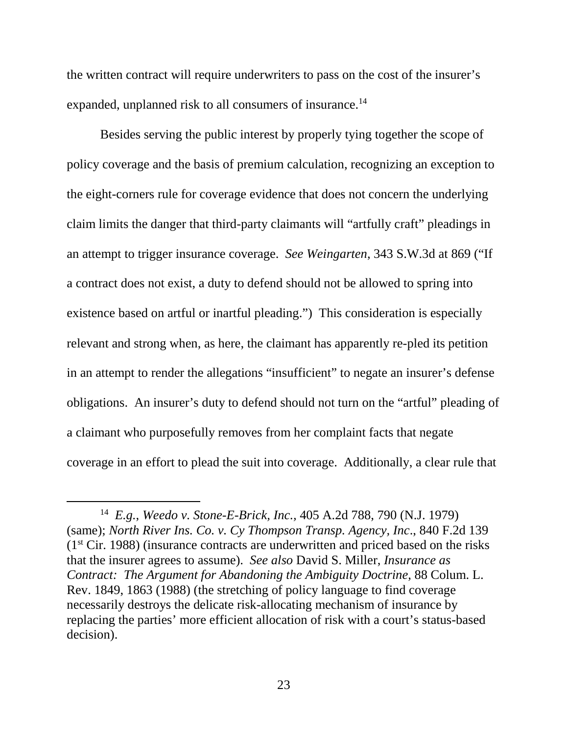the written contract will require underwriters to pass on the cost of the insurer's expanded, unplanned risk to all consumers of insurance.<sup>14</sup>

Besides serving the public interest by properly tying together the scope of policy coverage and the basis of premium calculation, recognizing an exception to the eight-corners rule for coverage evidence that does not concern the underlying claim limits the danger that third-party claimants will "artfully craft" pleadings in an attempt to trigger insurance coverage. *See Weingarten*, 343 S.W.3d at 869 ("If a contract does not exist, a duty to defend should not be allowed to spring into existence based on artful or inartful pleading.") This consideration is especially relevant and strong when, as here, the claimant has apparently re-pled its petition in an attempt to render the allegations "insufficient" to negate an insurer's defense obligations. An insurer's duty to defend should not turn on the "artful" pleading of a claimant who purposefully removes from her complaint facts that negate coverage in an effort to plead the suit into coverage. Additionally, a clear rule that

l

<sup>14</sup> *E.g.*, *Weedo v. Stone-E-Brick, Inc.,* 405 A.2d 788, 790 (N.J. 1979) (same); *North River Ins. Co. v. Cy Thompson Transp. Agency, Inc*., 840 F.2d 139  $(1<sup>st</sup> Cir. 1988)$  (insurance contracts are underwritten and priced based on the risks that the insurer agrees to assume). *See also* David S. Miller, *Insurance as Contract: The Argument for Abandoning the Ambiguity Doctrine*, 88 Colum. L. Rev. 1849, 1863 (1988) (the stretching of policy language to find coverage necessarily destroys the delicate risk-allocating mechanism of insurance by replacing the parties' more efficient allocation of risk with a court's status-based decision).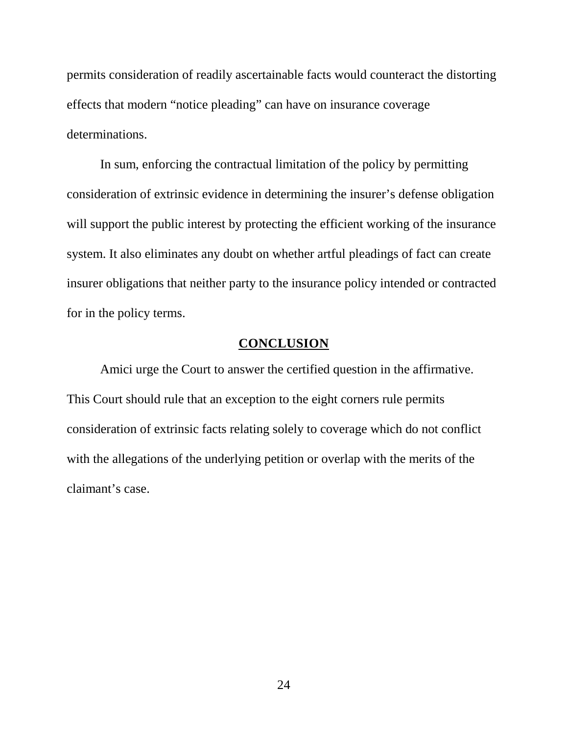permits consideration of readily ascertainable facts would counteract the distorting effects that modern "notice pleading" can have on insurance coverage determinations.

In sum, enforcing the contractual limitation of the policy by permitting consideration of extrinsic evidence in determining the insurer's defense obligation will support the public interest by protecting the efficient working of the insurance system. It also eliminates any doubt on whether artful pleadings of fact can create insurer obligations that neither party to the insurance policy intended or contracted for in the policy terms.

### **CONCLUSION**

Amici urge the Court to answer the certified question in the affirmative. This Court should rule that an exception to the eight corners rule permits consideration of extrinsic facts relating solely to coverage which do not conflict with the allegations of the underlying petition or overlap with the merits of the claimant's case.

24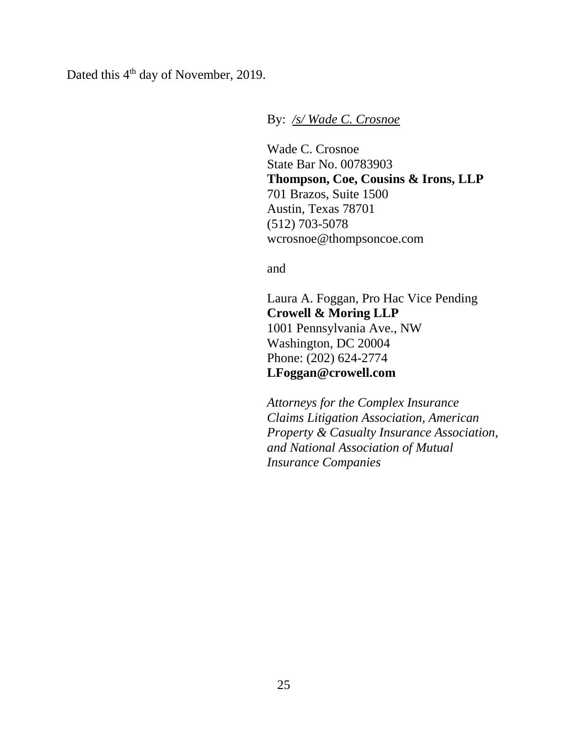Dated this 4<sup>th</sup> day of November, 2019.

By: */s/ Wade C. Crosnoe*

Wade C. Crosnoe State Bar No. 00783903 **Thompson, Coe, Cousins & Irons, LLP** 701 Brazos, Suite 1500 Austin, Texas 78701 (512) 703-5078 wcrosnoe@thompsoncoe.com

and

Laura A. Foggan, Pro Hac Vice Pending **Crowell & Moring LLP** 1001 Pennsylvania Ave., NW Washington, DC 20004 Phone: (202) 624-2774 **LFoggan@crowell.com**

*Attorneys for the Complex Insurance Claims Litigation Association, American Property & Casualty Insurance Association, and National Association of Mutual Insurance Companies*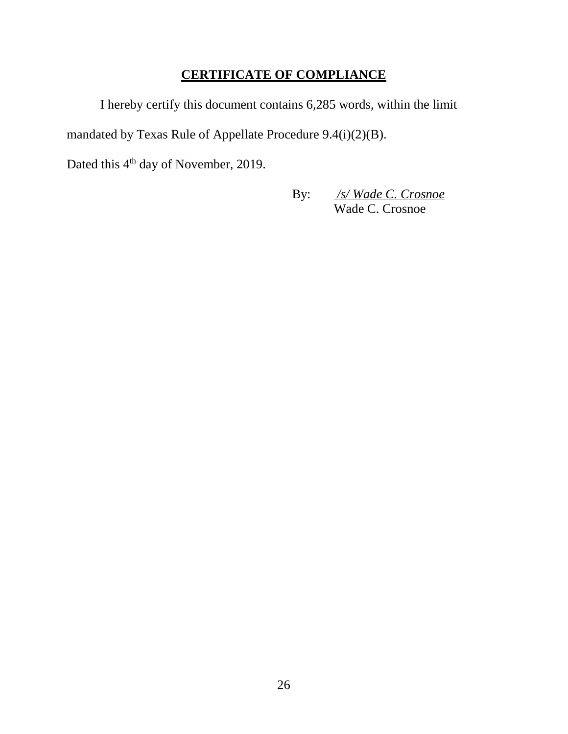## **CERTIFICATE OF COMPLIANCE**

I hereby certify this document contains 6,285 words, within the limit mandated by Texas Rule of Appellate Procedure 9.4(i)(2)(B).

Dated this 4<sup>th</sup> day of November, 2019.

By: */s/ Wade C. Crosnoe* Wade C. Crosnoe